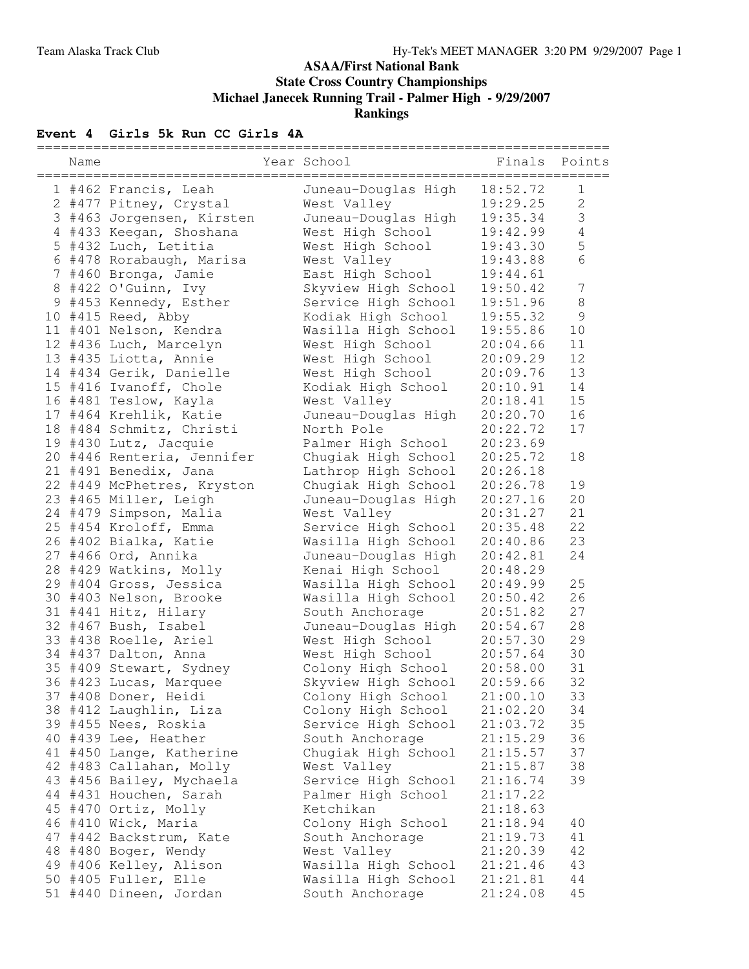### **ASAA/First National Bank State Cross Country Championships Michael Janecek Running Trail - Palmer High - 9/29/2007 Rankings**

## **Event 4 Girls 5k Run CC Girls 4A**

| :========== |                            | ======================= |                           |                  |
|-------------|----------------------------|-------------------------|---------------------------|------------------|
| Name        |                            | Year School             | Finals Points<br>-------- |                  |
|             | 1 #462 Francis, Leah       | Juneau-Douglas High     | 18:52.72                  | $\mathbf 1$      |
|             | 2 #477 Pitney, Crystal     | West Valley             | 19:29.25                  | $\overline{2}$   |
|             | 3 #463 Jorgensen, Kirsten  | Juneau-Douglas High     | 19:35.34                  | $\mathfrak{Z}$   |
|             | 4 #433 Keegan, Shoshana    | West High School        | 19:42.99                  | $\overline{4}$   |
|             | 5 #432 Luch, Letitia       | West High School        | 19:43.30                  | 5                |
|             | 6 #478 Rorabaugh, Marisa   | West Valley             | 19:43.88                  | $6\phantom{.}6$  |
|             | 7 #460 Bronga, Jamie       | East High School        | 19:44.61                  |                  |
|             | 8 #422 O'Guinn, Ivy        | Skyview High School     | 19:50.42                  | $\boldsymbol{7}$ |
|             | 9 #453 Kennedy, Esther     | Service High School     | 19:51.96                  | $\,8\,$          |
|             | 10 #415 Reed, Abby         | Kodiak High School      | 19:55.32                  | $\mathcal{G}$    |
|             | 11 #401 Nelson, Kendra     | Wasilla High School     | 19:55.86                  | 10               |
|             | 12 #436 Luch, Marcelyn     | West High School        | 20:04.66                  | 11               |
|             | 13 #435 Liotta, Annie      | West High School        | 20:09.29                  | 12               |
|             | 14 #434 Gerik, Danielle    | West High School        | 20:09.76                  | 13               |
|             | 15 #416 Ivanoff, Chole     | Kodiak High School      | 20:10.91                  | 14               |
|             | 16 #481 Teslow, Kayla      | West Valley             | 20:18.41                  | 15               |
|             | 17 #464 Krehlik, Katie     | Juneau-Douglas High     | 20:20.70                  | 16               |
|             | 18 #484 Schmitz, Christi   | North Pole              | 20:22.72                  | 17               |
|             | 19 #430 Lutz, Jacquie      | Palmer High School      | 20:23.69                  |                  |
|             | 20 #446 Renteria, Jennifer | Chugiak High School     | 20:25.72                  | 18               |
|             | 21 #491 Benedix, Jana      | Lathrop High School     | 20:26.18                  |                  |
|             | 22 #449 McPhetres, Kryston | Chugiak High School     | 20:26.78                  | 19               |
|             | 23 #465 Miller, Leigh      | Juneau-Douglas High     | 20:27.16                  | 20               |
|             | 24 #479 Simpson, Malia     | West Valley             | 20:31.27                  | 21               |
|             | 25 #454 Kroloff, Emma      | Service High School     | 20:35.48                  | 22               |
|             | 26 #402 Bialka, Katie      | Wasilla High School     | 20:40.86                  | 23               |
|             | 27 #466 Ord, Annika        | Juneau-Douglas High     | 20:42.81                  | 24               |
|             | 28 #429 Watkins, Molly     | Kenai High School       | 20:48.29                  |                  |
|             | 29 #404 Gross, Jessica     | Wasilla High School     | 20:49.99                  | 25               |
|             | 30 #403 Nelson, Brooke     | Wasilla High School     | 20:50.42                  | 26               |
|             | 31 #441 Hitz, Hilary       | South Anchorage         | 20:51.82                  | 27               |
|             | 32 #467 Bush, Isabel       | Juneau-Douglas High     | 20:54.67                  | 28               |
|             | 33 #438 Roelle, Ariel      | West High School        | 20:57.30                  | 29               |
|             | 34 #437 Dalton, Anna       | West High School        | 20:57.64                  | 30               |
|             | 35 #409 Stewart, Sydney    | Colony High School      | 20:58.00                  | 31               |
|             | 36 #423 Lucas, Marquee     | Skyview High School     | 20:59.66                  | 32               |
|             | 37 #408 Doner, Heidi       | Colony High School      | 21:00.10                  | 33               |
|             | 38 #412 Laughlin, Liza     | Colony High School      | 21:02.20                  | 34               |
|             | 39 #455 Nees, Roskia       | Service High School     | 21:03.72                  | 35               |
|             | 40 #439 Lee, Heather       | South Anchorage         | 21:15.29                  | 36               |
|             | 41 #450 Lange, Katherine   | Chugiak High School     | 21:15.57                  | 37               |
|             | 42 #483 Callahan, Molly    | West Valley             | 21:15.87                  | 38               |
|             | 43 #456 Bailey, Mychaela   | Service High School     | 21:16.74                  | 39               |
|             | 44 #431 Houchen, Sarah     | Palmer High School      | 21:17.22                  |                  |
|             | 45 #470 Ortiz, Molly       | Ketchikan               | 21:18.63                  |                  |
|             | 46 #410 Wick, Maria        | Colony High School      | 21:18.94                  | 40               |
|             | 47 #442 Backstrum, Kate    | South Anchorage         | 21:19.73                  | 41               |
|             | 48 #480 Boger, Wendy       | West Valley             | 21:20.39                  | 42               |
|             | 49 #406 Kelley, Alison     | Wasilla High School     | 21:21.46                  | 43               |
|             | 50 #405 Fuller, Elle       | Wasilla High School     | 21:21.81                  | 44               |
|             | 51 #440 Dineen, Jordan     | South Anchorage         | 21:24.08                  | 45               |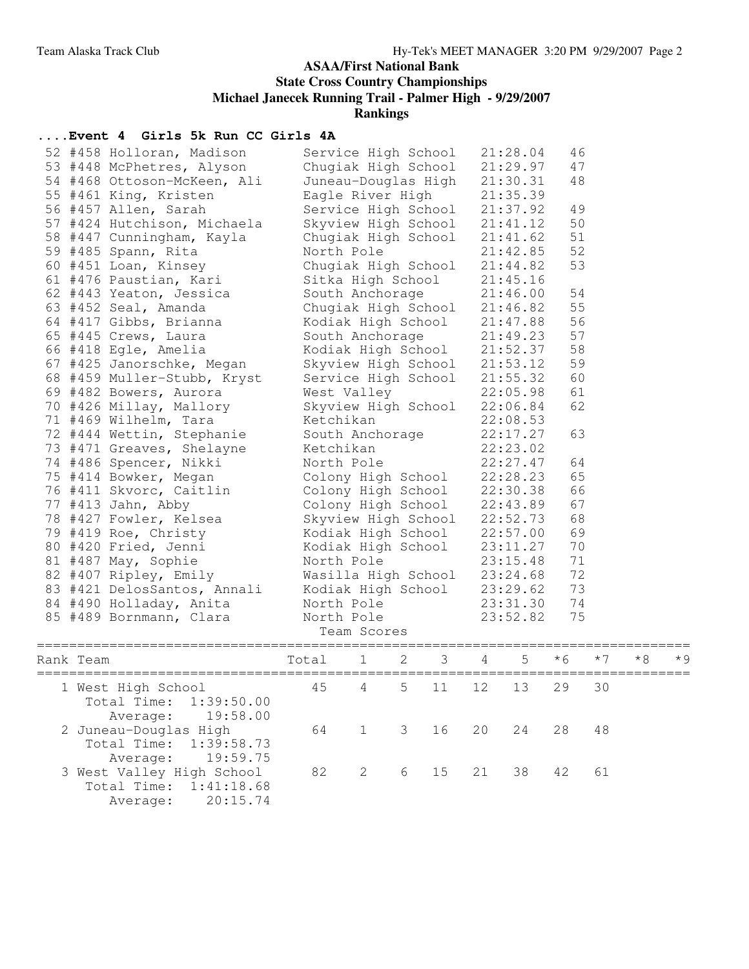### **ASAA/First National Bank State Cross Country Championships Michael Janecek Running Trail - Palmer High - 9/29/2007 Rankings**

# **....Event 4 Girls 5k Run CC Girls 4A**

|           | 52 #458 Holloran, Madison<br>53 #448 McPhetres, Alyson<br>54 #468 Ottoson-McKeen, Ali<br>55 #461 King, Kristen<br>56 #457 Allen, Sarah<br>57 #424 Hutchison, Michaela<br>58 #447 Cunningham, Kayla<br>59 #485 Spann, Rita<br>60 #451 Loan, Kinsey<br>61 #476 Paustian, Kari | Service High School<br>Eagle River High<br>Service High School<br>Skyview High School<br>Chugiak High School<br>North Pole<br>Chugiak High School<br>Sitka High School                                                                               | 21:28.04<br>46<br>Chugiak High School 21:29.97<br>47<br>Juneau-Douglas High 21:30.31<br>48<br>21:35.39<br>21:37.92<br>49<br>50<br>21:41.12<br>51<br>21:41.62<br>52<br>21:42.85<br>53<br>21:44.82<br>21:45.16 |                                                          |                            |    |                                                                                                                                                                                                                    |                                        |      |    |     |
|-----------|-----------------------------------------------------------------------------------------------------------------------------------------------------------------------------------------------------------------------------------------------------------------------------|------------------------------------------------------------------------------------------------------------------------------------------------------------------------------------------------------------------------------------------------------|--------------------------------------------------------------------------------------------------------------------------------------------------------------------------------------------------------------|----------------------------------------------------------|----------------------------|----|--------------------------------------------------------------------------------------------------------------------------------------------------------------------------------------------------------------------|----------------------------------------|------|----|-----|
|           | 62 #443 Yeaton, Jessica<br>63 #452 Seal, Amanda<br>64 #417 Gibbs, Brianna<br>65 #445 Crews, Laura<br>66 #418 Egle, Amelia<br>67 #425 Janorschke, Megan<br>68 #459 Muller-Stubb, Kryst                                                                                       |                                                                                                                                                                                                                                                      |                                                                                                                                                                                                              |                                                          |                            |    | South Anchorage 21:46.00<br>Chugiak High School 21:46.82<br>Kodiak High School 21:47.88<br>South Anchorage 21:49.23<br>Kodiak High School 21:52.37<br>Skyview High School 21:53.12<br>Service High School 21:55.32 | 54<br>55<br>56<br>57<br>58<br>59<br>60 |      |    |     |
|           | 69 #482 Bowers, Aurora<br>70 #426 Millay, Mallory<br>71 #469 Wilhelm, Tara<br>72 #444 Wettin, Stephanie<br>73 #471 Greaves, Shelayne<br>74 #486 Spencer, Nikki                                                                                                              | West Valley<br>Skyview High School<br>Ketchikan<br>South Anchorage<br>Ketchikan<br>North Pole<br>Colony High School 22:28.23<br>Colony High School<br>Colony High School<br>Skyview High School 22:52.73<br>Kodiak High School<br>Kodiak High School |                                                                                                                                                                                                              |                                                          |                            |    | 22:05.98<br>22:06.84<br>22:08.53<br>22:17.27<br>22:23.02<br>22:27.47                                                                                                                                               | 61<br>62<br>63<br>64                   |      |    |     |
|           | 75 #414 Bowker, Megan<br>76 #411 Skvorc, Caitlin<br>77 #413 Jahn, Abby<br>78 #427 Fowler, Kelsea<br>79 #419 Roe, Christy<br>80 #420 Fried, Jenni                                                                                                                            |                                                                                                                                                                                                                                                      |                                                                                                                                                                                                              |                                                          |                            |    | 22:30.38<br>22:43.89<br>22:57.00<br>23:11.27                                                                                                                                                                       | 65<br>66<br>67<br>68<br>69<br>70       |      |    |     |
|           | 81 #487 May, Sophie<br>82 #407 Ripley, Emily<br>83 #421 DelosSantos, Annali<br>84 #490 Holladay, Anita<br>85 #489 Bornmann, Clara                                                                                                                                           | North Pole<br>Wasilla High School<br>Kodiak High School<br>North Pole<br>North Pole<br>Team Scores                                                                                                                                                   |                                                                                                                                                                                                              | 23:15.48<br>23:24.68<br>23:29.62<br>23:31.30<br>23:52.82 | 71<br>72<br>73<br>74<br>75 |    |                                                                                                                                                                                                                    |                                        |      |    |     |
| Rank Team | Total                                                                                                                                                                                                                                                                       |                                                                                                                                                                                                                                                      | $\mathbf{1}$                                                                                                                                                                                                 | 2                                                        | 3 <sup>7</sup>             | 4  | 5                                                                                                                                                                                                                  | $*6$                                   | $*7$ | *8 | * 9 |
|           | 1 West High School<br>1:39:50.00<br>Total Time:<br>19:58.00<br>Average:                                                                                                                                                                                                     | 45                                                                                                                                                                                                                                                   | $\overline{4}$                                                                                                                                                                                               |                                                          | 5 11 12                    |    | 13                                                                                                                                                                                                                 | 29                                     | 30   |    |     |
|           | 2 Juneau-Douglas High<br>Total Time:<br>1:39:58.73<br>19:59.75<br>Average:                                                                                                                                                                                                  | 64                                                                                                                                                                                                                                                   | $\mathbf 1$                                                                                                                                                                                                  | 3                                                        | 16                         | 20 | 24                                                                                                                                                                                                                 | 28                                     | 48   |    |     |
|           | 3 West Valley High School<br>Total Time:<br>1:41:18.68<br>20:15.74<br>Average:                                                                                                                                                                                              | 82                                                                                                                                                                                                                                                   | $\mathbf{2}$                                                                                                                                                                                                 | 6                                                        | 15                         | 21 | 38                                                                                                                                                                                                                 | 42                                     | 61   |    |     |